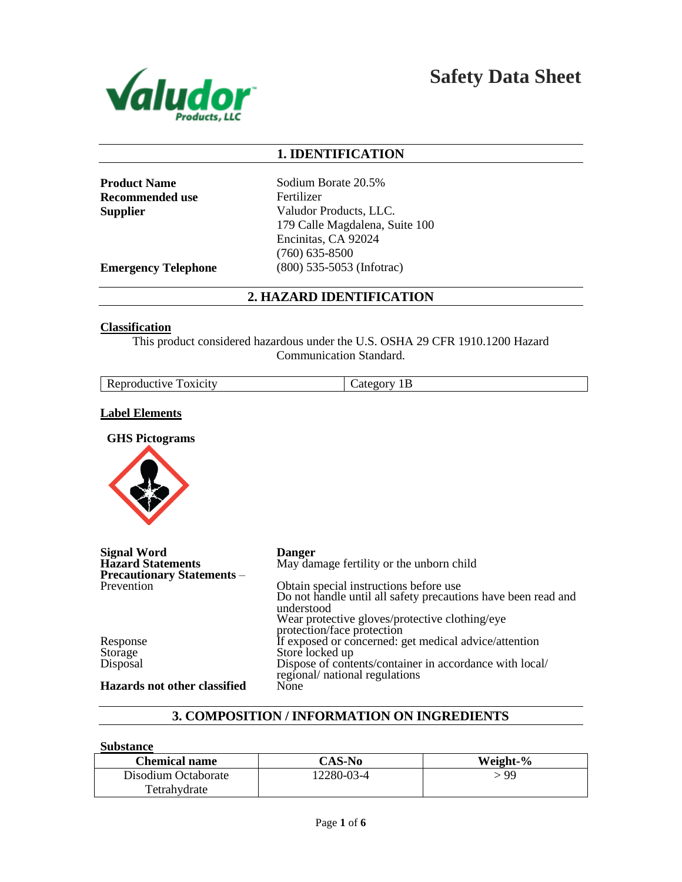

**Safety Data Sheet**

# **1. IDENTIFICATION**

**Recommended use** Fertilizer

**Product Name** Sodium Borate 20.5% **Supplier** Valudor Products, LLC. 179 Calle Magdalena, Suite 100 Encinitas, CA 92024 (760) 635-8500 **Emergency Telephone** (800) 535-5053 (Infotrac)

# **2. HAZARD IDENTIFICATION**

## **Classification**

This product considered hazardous under the U.S. OSHA 29 CFR 1910.1200 Hazard Communication Standard.

| Reproductive   | ategory |
|----------------|---------|
| <b>OXICITY</b> | 1 L     |
|                |         |

## **Label Elements**

**GHS Pictograms** 



| <b>Signal Word</b>                  | <b>Danger</b>                                                                            |
|-------------------------------------|------------------------------------------------------------------------------------------|
| <b>Hazard Statements</b>            | May damage fertility or the unborn child                                                 |
| <b>Precautionary Statements -</b>   |                                                                                          |
| Prevention                          | Obtain special instructions before use                                                   |
|                                     | Do not handle until all safety precautions have been read and<br>understood              |
|                                     | Wear protective gloves/protective clothing/eye                                           |
|                                     | protection/face protection                                                               |
| Response                            | If exposed or concerned: get medical advice/attention                                    |
| Storage                             | Store locked up                                                                          |
| Disposal                            | Dispose of contents/container in accordance with local/<br>regional/national regulations |
| <b>Hazards not other classified</b> | None                                                                                     |

# **3. COMPOSITION / INFORMATION ON INGREDIENTS**

#### **Substance**

| <b>Chemical name</b> | CAS-No     | Weight-% |
|----------------------|------------|----------|
| Disodium Octaborate  | 12280-03-4 | > 99     |
| Tetrahydrate         |            |          |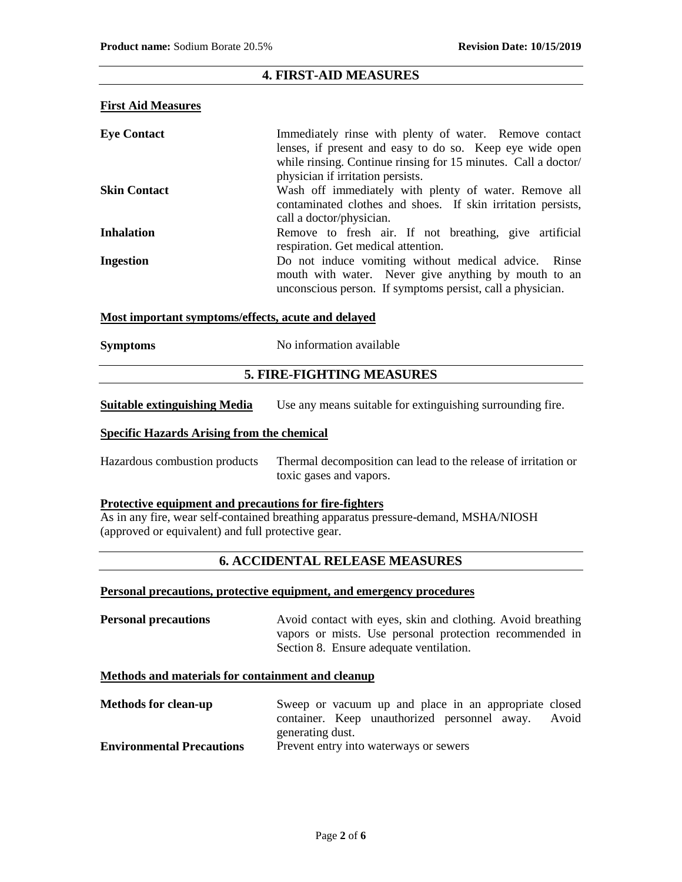# **4. FIRST-AID MEASURES**

## **First Aid Measures**

| <b>Eye Contact</b>  | Immediately rinse with plenty of water. Remove contact<br>lenses, if present and easy to do so. Keep eye wide open<br>while rinsing. Continue rinsing for 15 minutes. Call a doctor/<br>physician if irritation persists. |
|---------------------|---------------------------------------------------------------------------------------------------------------------------------------------------------------------------------------------------------------------------|
| <b>Skin Contact</b> | Wash off immediately with plenty of water. Remove all<br>contaminated clothes and shoes. If skin irritation persists,<br>call a doctor/physician.                                                                         |
| <b>Inhalation</b>   | Remove to fresh air. If not breathing, give artificial<br>respiration. Get medical attention.                                                                                                                             |
| <b>Ingestion</b>    | Do not induce vomiting without medical advice. Rinse<br>mouth with water. Never give anything by mouth to an<br>unconscious person. If symptoms persist, call a physician.                                                |

## **Most important symptoms/effects, acute and delayed**

# **5. FIRE-FIGHTING MEASURES**

**Suitable extinguishing Media** Use any means suitable for extinguishing surrounding fire.

## **Specific Hazards Arising from the chemical**

Hazardous combustion products Thermal decomposition can lead to the release of irritation or toxic gases and vapors.

## **Protective equipment and precautions for fire-fighters**

As in any fire, wear self-contained breathing apparatus pressure-demand, MSHA/NIOSH (approved or equivalent) and full protective gear.

# **6. ACCIDENTAL RELEASE MEASURES**

# **Personal precautions, protective equipment, and emergency procedures**

**Personal precautions** Avoid contact with eyes, skin and clothing. Avoid breathing vapors or mists. Use personal protection recommended in Section 8. Ensure adequate ventilation.

## **Methods and materials for containment and cleanup**

| <b>Methods for clean-up</b>      | Sweep or vacuum up and place in an appropriate closed |  |  |  |
|----------------------------------|-------------------------------------------------------|--|--|--|
|                                  | container. Keep unauthorized personnel away. Avoid    |  |  |  |
|                                  | generating dust.                                      |  |  |  |
| <b>Environmental Precautions</b> | Prevent entry into waterways or sewers                |  |  |  |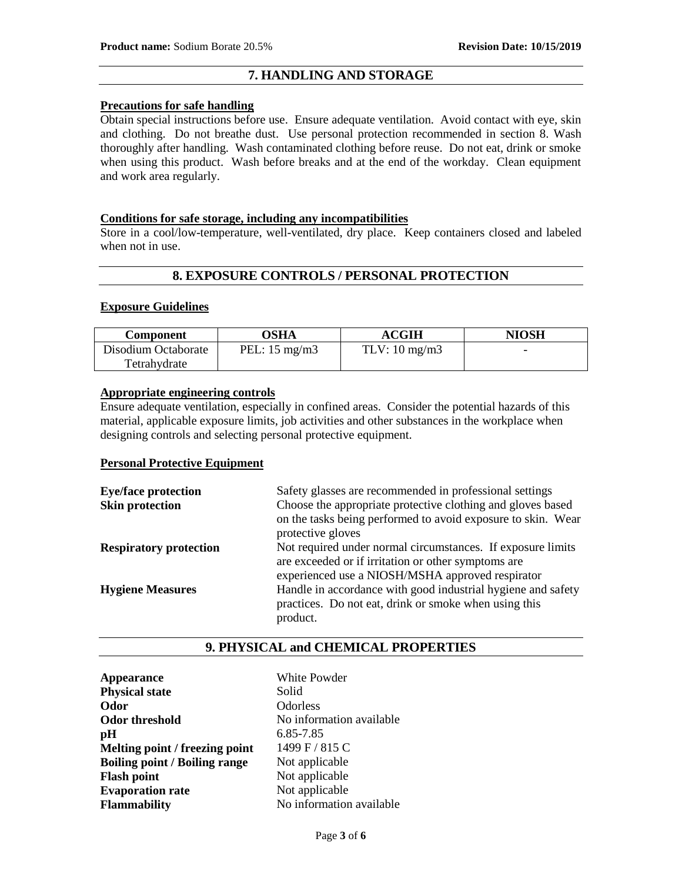# **7. HANDLING AND STORAGE**

# **Precautions for safe handling**

Obtain special instructions before use. Ensure adequate ventilation. Avoid contact with eye, skin and clothing. Do not breathe dust. Use personal protection recommended in section 8. Wash thoroughly after handling. Wash contaminated clothing before reuse. Do not eat, drink or smoke when using this product. Wash before breaks and at the end of the workday. Clean equipment and work area regularly.

## **Conditions for safe storage, including any incompatibilities**

Store in a cool/low-temperature, well-ventilated, dry place. Keep containers closed and labeled when not in use.

# **8. EXPOSURE CONTROLS / PERSONAL PROTECTION**

## **Exposure Guidelines**

| Component           | <b>OSHA</b>              | <b>ACGIH</b>             | NIOSH |
|---------------------|--------------------------|--------------------------|-------|
| Disodium Octaborate | PEL: $15 \text{ mg/m}$ 3 | TLV: $10 \text{ mg/m}$ 3 |       |
| Tetrahydrate        |                          |                          |       |

## **Appropriate engineering controls**

Ensure adequate ventilation, especially in confined areas. Consider the potential hazards of this material, applicable exposure limits, job activities and other substances in the workplace when designing controls and selecting personal protective equipment.

## **Personal Protective Equipment**

| <b>Eye/face protection</b>    | Safety glasses are recommended in professional settings      |
|-------------------------------|--------------------------------------------------------------|
| <b>Skin protection</b>        | Choose the appropriate protective clothing and gloves based  |
|                               | on the tasks being performed to avoid exposure to skin. Wear |
|                               | protective gloves                                            |
| <b>Respiratory protection</b> | Not required under normal circumstances. If exposure limits  |
|                               | are exceeded or if irritation or other symptoms are          |
|                               | experienced use a NIOSH/MSHA approved respirator             |
| <b>Hygiene Measures</b>       | Handle in accordance with good industrial hygiene and safety |
|                               | practices. Do not eat, drink or smoke when using this        |
|                               | product.                                                     |

## **9. PHYSICAL and CHEMICAL PROPERTIES**

| <b>Appearance</b>                    | <b>White Powder</b>      |
|--------------------------------------|--------------------------|
| <b>Physical state</b>                | Solid                    |
| Odor                                 | Odorless                 |
| <b>Odor threshold</b>                | No information available |
| pН                                   | 6.85-7.85                |
| Melting point / freezing point       | 1499 F / 815 C           |
| <b>Boiling point / Boiling range</b> | Not applicable           |
| Flash point                          | Not applicable           |
| <b>Evaporation rate</b>              | Not applicable           |
| Flammability                         | No information available |
|                                      |                          |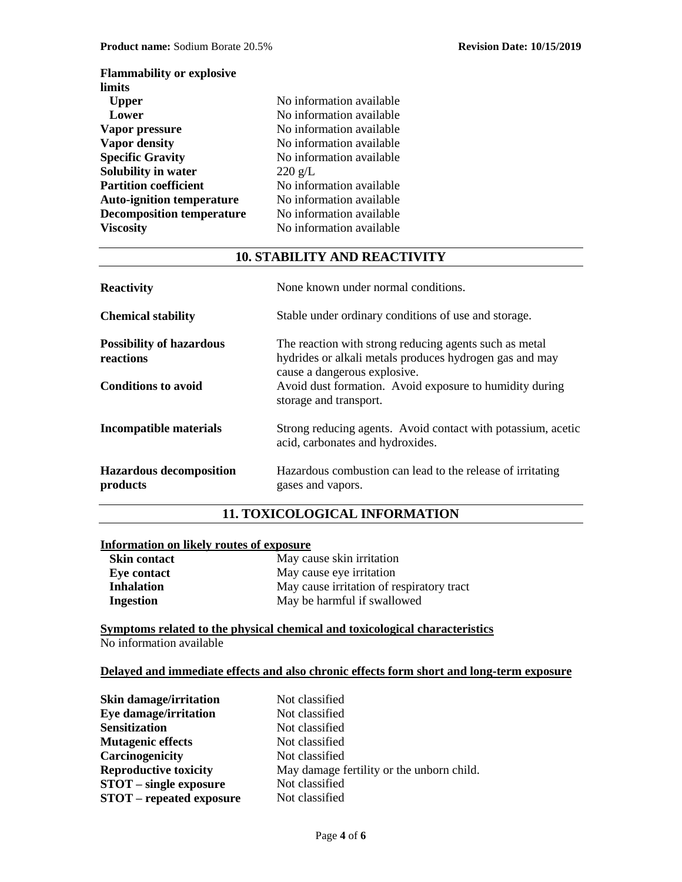| No information available |
|--------------------------|
| No information available |
| No information available |
| No information available |
| No information available |
|                          |
| No information available |
| No information available |
| No information available |
| No information available |
|                          |

# **10. STABILITY AND REACTIVITY**

| <b>Reactivity</b>                            | None known under normal conditions.                                                                                                               |
|----------------------------------------------|---------------------------------------------------------------------------------------------------------------------------------------------------|
| <b>Chemical stability</b>                    | Stable under ordinary conditions of use and storage.                                                                                              |
| <b>Possibility of hazardous</b><br>reactions | The reaction with strong reducing agents such as metal<br>hydrides or alkali metals produces hydrogen gas and may<br>cause a dangerous explosive. |
| <b>Conditions to avoid</b>                   | Avoid dust formation. Avoid exposure to humidity during<br>storage and transport.                                                                 |
| <b>Incompatible materials</b>                | Strong reducing agents. Avoid contact with potassium, acetic<br>acid, carbonates and hydroxides.                                                  |
| <b>Hazardous decomposition</b><br>products   | Hazardous combustion can lead to the release of irritating<br>gases and vapors.                                                                   |

# **11. TOXICOLOGICAL INFORMATION**

## **Information on likely routes of exposure**

| <b>Skin contact</b> | May cause skin irritation                 |
|---------------------|-------------------------------------------|
| Eye contact         | May cause eye irritation                  |
| <b>Inhalation</b>   | May cause irritation of respiratory tract |
| Ingestion           | May be harmful if swallowed               |

**Symptoms related to the physical chemical and toxicological characteristics** No information available

## **Delayed and immediate effects and also chronic effects form short and long-term exposure**

| <b>Skin damage/irritation</b>   | Not classified                            |
|---------------------------------|-------------------------------------------|
| <b>Eye damage/irritation</b>    | Not classified                            |
| <b>Sensitization</b>            | Not classified                            |
| <b>Mutagenic effects</b>        | Not classified                            |
| Carcinogenicity                 | Not classified                            |
| <b>Reproductive toxicity</b>    | May damage fertility or the unborn child. |
| <b>STOT</b> – single exposure   | Not classified                            |
| <b>STOT</b> – repeated exposure | Not classified                            |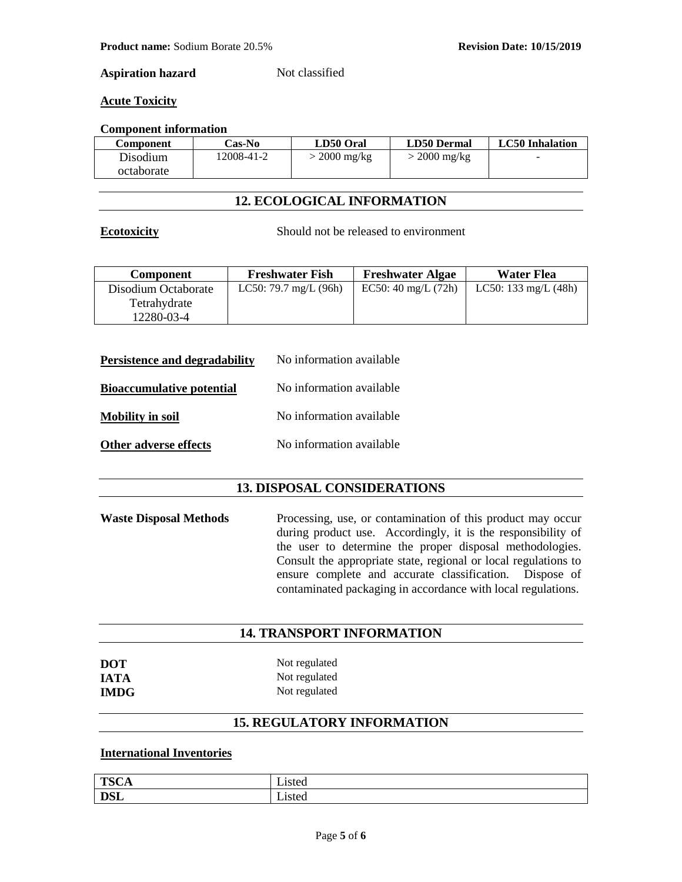## **Aspiration hazard** Not classified

## **Acute Toxicity**

## **Component information**

| Component  | Cas-No     | LD50 Oral    | <b>LD50 Dermal</b> | <b>LC50</b> Inhalation |
|------------|------------|--------------|--------------------|------------------------|
| Disodium   | 12008-41-2 | > 2000 mg/kg | $>$ 2000 mg/kg     | -                      |
| octaborate |            |              |                    |                        |

# **12. ECOLOGICAL INFORMATION**

**Ecotoxicity** Should not be released to environment

| <b>Component</b>    | <b>Freshwater Fish</b>  | <b>Freshwater Algae</b> | Water Flea             |
|---------------------|-------------------------|-------------------------|------------------------|
| Disodium Octaborate | LC50: 79.7 mg/L $(96h)$ | EC50: 40 mg/L $(72h)$   | LC50: 133 mg/L $(48h)$ |
| Tetrahydrate        |                         |                         |                        |
| 12280-03-4          |                         |                         |                        |

**Bioaccumulative potential** No information available

**Mobility in soil** No information available

**Other adverse effects** No information available

# **13. DISPOSAL CONSIDERATIONS**

Waste Disposal Methods Processing, use, or contamination of this product may occur during product use. Accordingly, it is the responsibility of the user to determine the proper disposal methodologies. Consult the appropriate state, regional or local regulations to ensure complete and accurate classification. Dispose of contaminated packaging in accordance with local regulations.

# **14. TRANSPORT INFORMATION**

| <b>DOT</b>  | Not regulated |
|-------------|---------------|
| <b>IATA</b> | Not regulated |
| <b>IMDG</b> | Not regulated |

# **15. REGULATORY INFORMATION**

# **International Inventories**

| <b>TSCA</b> | $ -$<br>.<br>10U |
|-------------|------------------|
| <b>DSL</b>  | ----<br>Listeg   |